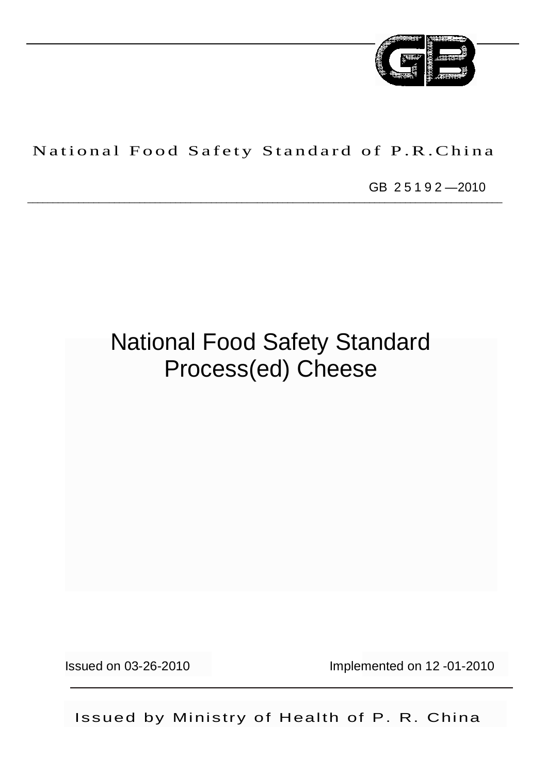

# National Food Safety Standard of P.R.China

 $\_$  ,  $\_$  ,  $\_$  ,  $\_$  ,  $\_$  ,  $\_$  ,  $\_$  ,  $\_$  ,  $\_$  ,  $\_$  ,  $\_$  ,  $\_$  ,  $\_$  ,  $\_$  ,  $\_$  ,  $\_$  ,  $\_$  ,  $\_$  ,  $\_$  ,  $\_$  ,  $\_$  ,  $\_$  ,  $\_$  ,  $\_$  ,  $\_$  ,  $\_$  ,  $\_$  ,  $\_$  ,  $\_$  ,  $\_$  ,  $\_$  ,  $\_$  ,  $\_$  ,  $\_$  ,  $\_$  ,  $\_$  ,  $\_$  ,

GB 2 5 1 9 2 —2010

# National Food Safety Standard Process(ed) Cheese

Issued on 03-26-2010 Implemented on 12 -01-2010

Issued by Ministry of Health of P. R. China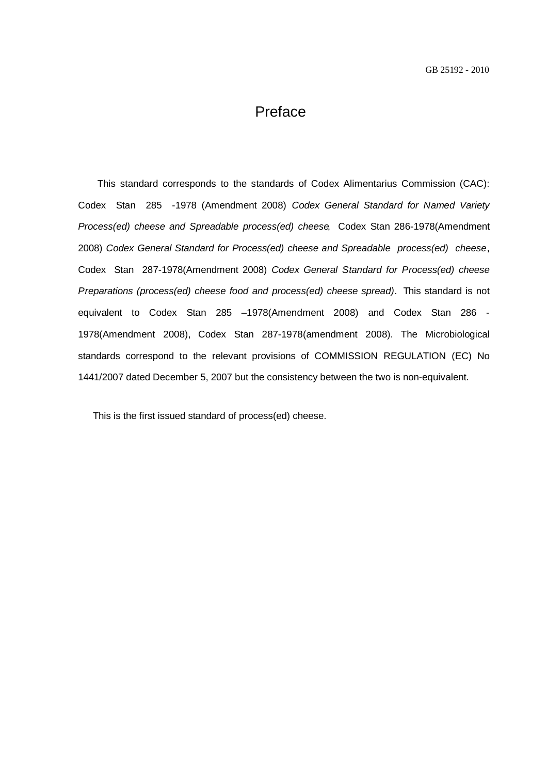# Preface

This standard corresponds to the standards of Codex Alimentarius Commission (CAC): Codex Stan 285 -1978 (Amendment 2008) *Codex General Standard for Named Variety Process(ed) cheese and Spreadable process(ed) cheese*, Codex Stan 286-1978(Amendment 2008) *Codex General Standard for Process(ed) cheese and Spreadable process(ed) cheese*, Codex Stan 287-1978(Amendment 2008) *Codex General Standard for Process(ed) cheese Preparations (process(ed) cheese food and process(ed) cheese spread)*. This standard is not equivalent to Codex Stan 285 –1978(Amendment 2008) and Codex Stan 286 - 1978(Amendment 2008), Codex Stan 287-1978(amendment 2008). The Microbiological standards correspond to the relevant provisions of COMMISSION REGULATION (EC) No 1441/2007 dated December 5, 2007 but the consistency between the two is non-equivalent.

This is the first issued standard of process(ed) cheese.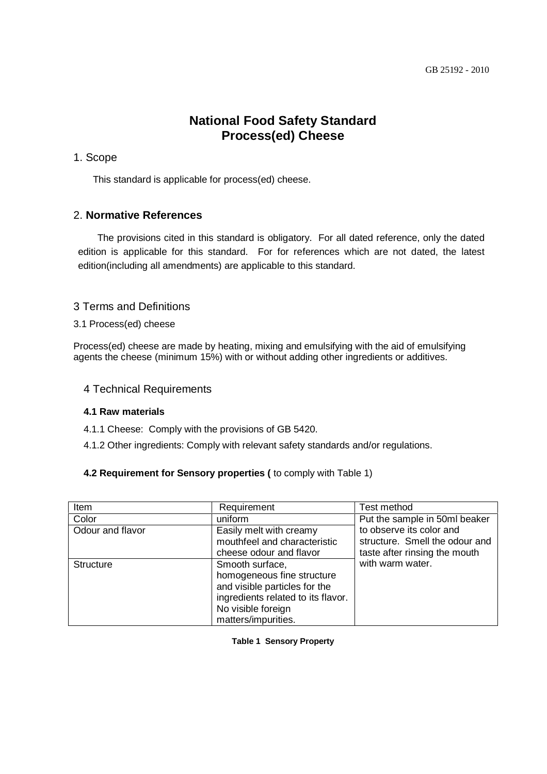# **National Food Safety Standard Process(ed) Cheese**

#### 1. Scope

This standard is applicable for process(ed) cheese.

## 2. **Normative References**

The provisions cited in this standard is obligatory. For all dated reference, only the dated edition is applicable for this standard. For for references which are not dated, the latest edition(including all amendments) are applicable to this standard.

#### 3 Terms and Definitions

3.1 Process(ed) cheese

Process(ed) cheese are made by heating, mixing and emulsifying with the aid of emulsifying agents the cheese (minimum 15%) with or without adding other ingredients or additives.

#### 4 Technical Requirements

#### **4.1 Raw materials**

- 4.1.1 Cheese: Comply with the provisions of GB 5420.
- 4.1.2 Other ingredients: Comply with relevant safety standards and/or regulations.

#### **4.2 Requirement for Sensory properties (** to comply with Table 1)

| Item             | Requirement                        | <b>Test method</b>             |
|------------------|------------------------------------|--------------------------------|
| Color            | uniform                            | Put the sample in 50ml beaker  |
| Odour and flavor | Easily melt with creamy            | to observe its color and       |
|                  | mouthfeel and characteristic       | structure. Smell the odour and |
|                  | cheese odour and flavor            | taste after rinsing the mouth  |
| <b>Structure</b> | Smooth surface,                    | with warm water.               |
|                  | homogeneous fine structure         |                                |
|                  | and visible particles for the      |                                |
|                  | ingredients related to its flavor. |                                |
|                  | No visible foreign                 |                                |
|                  | matters/impurities.                |                                |

#### **Table 1 Sensory Property**